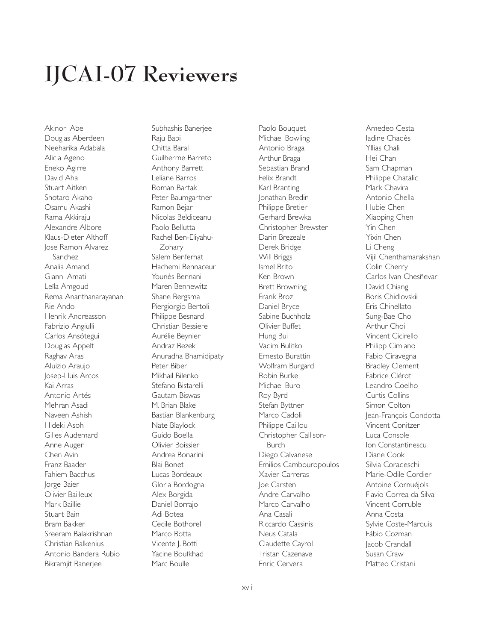## **IJCAI-07 Reviewers**

Akinori Abe Douglas Aberdeen Neeharika Adabala Alicia Ageno Eneko Agirre David Aha Stuart Aitken Shotaro Akaho Osamu Akashi Rama Akkiraju Alexandre Albore Klaus-Dieter Althoff Jose Ramon Alvarez Sanchez Analia Amandi Gianni Amati Leïla Amgoud Rema Ananthanarayanan Rie Ando Henrik Andreasson Fabrizio Angiulli Carlos Ansótegui Douglas Appelt Raghav Aras Aluizio Araujo Josep-Lluis Arcos Kai Arras Antonio Artés Mehran Asadi Naveen Ashish Hideki Asoh Gilles Audemard Anne Auger Chen Avin Franz Baader Fahiem Bacchus Jorge Baier Olivier Bailleux Mark Baillie Stuart Bain Bram Bakker Sreeram Balakrishnan Christian Balkenius Antonio Bandera Rubio Bikramjit Banerjee

Subhashis Banerjee Raju Bapi Chitta Baral Guilherme Barreto Anthony Barrett Leliane Barros Roman Bartak Peter Baumgartner Ramon Bejar Nicolas Beldiceanu Paolo Bellutta Rachel Ben-Eliyahu-**Zohary** Salem Benferhat Hachemi Bennaceur Younès Bennani Maren Bennewitz Shane Bergsma Piergiorgio Bertoli Philippe Besnard Christian Bessiere Aurélie Beynier Andraz Bezek Anuradha Bhamidipaty Peter Biber Mikhail Bilenko Stefano Bistarelli Gautam Biswas M. Brian Blake Bastian Blankenburg Nate Blaylock Guido Boella Olivier Boissier Andrea Bonarini Blai Bonet Lucas Bordeaux Gloria Bordogna Alex Borgida Daniel Borrajo Adi Botea Cecile Bothorel Marco Botta Vicente J. Botti Yacine Boufkhad Marc Boulle

Paolo Bouquet Michael Bowling Antonio Braga Arthur Braga Sebastian Brand Felix Brandt Karl Branting Jonathan Bredin Philippe Bretier Gerhard Brewka Christopher Brewster Darin Brezeale Derek Bridge Will Briggs Ismel Brito Ken Brown Brett Browning Frank Broz Daniel Bryce Sabine Buchholz Olivier Buffet Hung Bui Vadim Bulitko Ernesto Burattini Wolfram Burgard Robin Burke Michael Buro Roy Byrd Stefan Byttner Marco Cadoli Philippe Caillou Christopher Callison-Burch Diego Calvanese Emilios Cambouropoulos Xavier Carreras Joe Carsten Andre Carvalho Marco Carvalho Ana Casali Riccardo Cassinis Neus Catala Claudette Cayrol Tristan Cazenave Enric Cervera

Amedeo Cesta Iadine Chadès Yllias Chali Hei Chan Sam Chapman Philippe Chatalic Mark Chavira Antonio Chella Hubie Chen Xiaoping Chen Yin Chen Yixin Chen Li Cheng Vijil Chenthamarakshan Colin Cherry Carlos Ivan Chesñevar David Chiang Boris Chidlovskii Eris Chinellato Sung-Bae Cho Arthur Choi Vincent Cicirello Philipp Cimiano Fabio Ciravegna Bradley Clement Fabrice Clérot Leandro Coelho Curtis Collins Simon Colton Jean-François Condotta Vincent Conitzer Luca Console Ion Constantinescu Diane Cook Silvia Coradeschi Marie-Odile Cordier Antoine Cornuéjols Flavio Correa da Silva Vincent Corruble Anna Costa Sylvie Coste-Marquis Fábio Cozman Jacob Crandall Susan Craw Matteo Cristani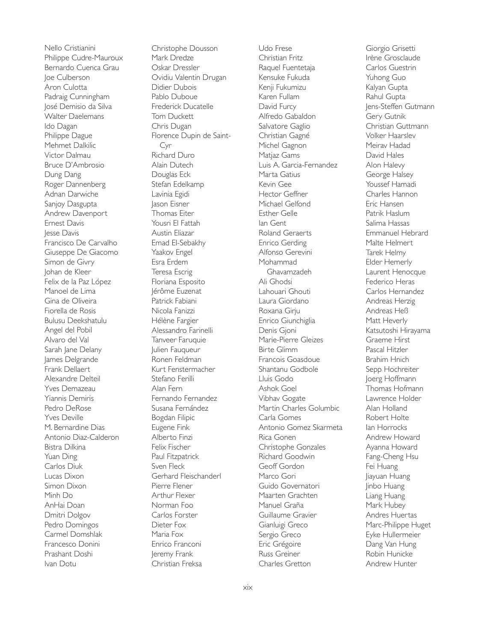Nello Cristianini Philippe Cudre-Mauroux Bernardo Cuenca Grau Joe Culberson Aron Culotta Padraig Cunningham José Demisio da Silva Walter Daelemans Ido Dagan Philippe Dague Mehmet Dalkilic Victor Dalmau Bruce D'Ambrosio Dung Dang Roger Dannenberg Adnan Darwiche Sanjoy Dasgupta Andrew Davenport Ernest Davis lesse Davis Francisco De Carvalho Giuseppe De Giacomo Simon de Givry Johan de Kleer Felix de la Paz López Manoel de Lima Gina de Oliveira Fiorella de Rosis Bulusu Deekshatulu Angel del Pobil Alvaro del Val Sarah Jane Delany James Delgrande Frank Dellaert Alexandre Delteil Yves Demazeau Yiannis Demiris Pedro DeRose Yves Deville M. Bernardine Dias Antonio Diaz-Calderon Bistra Dilkina Yuan Ding Carlos Diuk Lucas Dixon Simon Dixon Minh Do AnHai Doan Dmitri Dolgov Pedro Domingos Carmel Domshlak Francesco Donini Prashant Doshi Ivan Dotu

Christophe Dousson Mark Dredze Oskar Dressler Ovidiu Valentin Drugan Didier Dubois Pablo Duboue Frederick Ducatelle Tom Duckett Chris Dugan Florence Dupin de Saint-Cyr Richard Duro Alain Dutech Douglas Eck Stefan Edelkamp Lavinia Egidi Jason Eisner Thomas Eiter Yousri El Fattah Austin Eliazar Emad El-Sebakhy Yaakov Engel Esra Erdem Teresa Escrig Floriana Esposito Jérôme Euzenat Patrick Fabiani Nicola Fanizzi Hélène Fargier Alessandro Farinelli Tanveer Faruquie Julien Fauqueur Ronen Feldman Kurt Fenstermacher Stefano Ferilli Alan Fern Fernando Fernandez Susana Fernández Bogdan Filipic Eugene Fink Alberto Finzi Felix Fischer Paul Fitzpatrick Sven Fleck Gerhard Fleischanderl Pierre Flener Arthur Flexer Norman Foo Carlos Forster Dieter Fox Maria Fox Enrico Franconi Jeremy Frank Christian Freksa

Udo Frese Christian Fritz Raquel Fuentetaja Kensuke Fukuda Kenji Fukumizu Karen Fullam David Furcy Alfredo Gabaldon Salvatore Gaglio Christian Gagné Michel Gagnon Matjaz Gams Luis A. Garcia-Fernandez Marta Gatius Kevin Gee Hector Geffner Michael Gelfond Esther Gelle Ian Gent Roland Geraerts Enrico Gerding Alfonso Gerevini Mohammad Ghavamzadeh Ali Ghodsi Lahouari Ghouti Laura Giordano Roxana Girju Enrico Giunchiglia Denis Gjoni Marie-Pierre Gleizes Birte Glimm Francois Goasdoue Shantanu Godbole Lluis Godo Ashok Goel Vibhav Gogate Martin Charles Golumbic Carla Gomes Antonio Gomez Skarmeta Rica Gonen Christophe Gonzales Richard Goodwin Geoff Gordon Marco Gori Guido Governatori Maarten Grachten Manuel Graña Guillaume Gravier Gianluigi Greco Sergio Greco Eric Grégoire Russ Greiner Charles Gretton

Giorgio Grisetti Irène Grosclaude Carlos Guestrin Yuhong Guo Kalyan Gupta Rahul Gupta Jens-Steffen Gutmann Gery Gutnik Christian Guttmann Volker Haarslev Meirav Hadad David Hales Alon Halevy George Halsey Youssef Hamadi Charles Hannon Eric Hansen Patrik Haslum Salima Hassas Emmanuel Hebrard Malte Helmert Tarek Helmy Elder Hemerly Laurent Henocque Federico Heras Carlos Hernandez Andreas Herzig Andreas Heß Matt Heverly Katsutoshi Hirayama Graeme Hirst Pascal Hitzler Brahim Hnich Sepp Hochreiter Joerg Hoffmann Thomas Hofmann Lawrence Holder Alan Holland Robert Holte Ian Horrocks Andrew Howard Ayanna Howard Fang-Cheng Hsu Fei Huang Jiayuan Huang Jinbo Huang Liang Huang Mark Hubey Andres Huertas Marc-Philippe Huget Eyke Hullermeier Dang Van Hung Robin Hunicke Andrew Hunter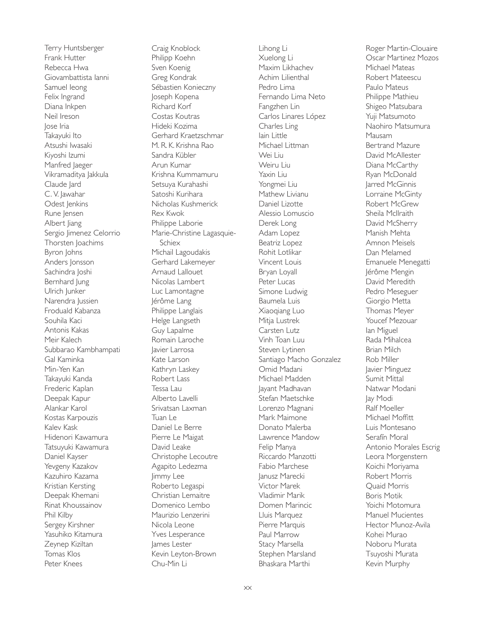Terry Huntsberger Frank Hutter Rebecca Hwa Giovambattista Ianni Samuel Ieong Felix Ingrand Diana Inkpen Neil Ireson Jose Iria Takayuki Ito Atsushi Iwasaki Kiyoshi Izumi Manfred Jaeger Vikramaditya Jakkula Claude Jard C. V. Jawahar Odest Jenkins Rune Jensen Albert Jiang Sergio Jimenez Celorrio Thorsten Joachims Byron Johns Anders Jonsson Sachindra Joshi Bernhard Jung Ulrich Junker Narendra Jussien Froduald Kabanza Souhila Kaci Antonis Kakas Meir Kalech Subbarao Kambhampati Gal Kaminka Min-Yen Kan Takayuki Kanda Frederic Kaplan Deepak Kapur Alankar Karol Kostas Karpouzis Kalev Kask Hidenori Kawamura Tatsuyuki Kawamura Daniel Kayser Yevgeny Kazakov Kazuhiro Kazama Kristian Kersting Deepak Khemani Rinat Khoussainov Phil Kilby Sergey Kirshner Yasuhiko Kitamura Zeynep Kiziltan Tomas Klos Peter Knees

Craig Knoblock Philipp Koehn Sven Koenig Greg Kondrak Sébastien Konieczny Joseph Kopena Richard Korf Costas Koutras Hideki Kozima Gerhard Kraetzschmar M. R. K. Krishna Rao Sandra Kübler Arun Kumar Krishna Kummamuru Setsuya Kurahashi Satoshi Kurihara Nicholas Kushmerick Rex Kwok Philippe Laborie Marie-Christine Lagasquie-Schiex Michail Lagoudakis Gerhard Lakemeyer Arnaud Lallouet Nicolas Lambert Luc Lamontagne Jérôme Lang Philippe Langlais Helge Langseth Guy Lapalme Romain Laroche Javier Larrosa Kate Larson Kathryn Laskey Robert Lass Tessa Lau Alberto Lavelli Srivatsan Laxman Tuan Le Daniel Le Berre Pierre Le Maigat David Leake Christophe Lecoutre Agapito Ledezma Jimmy Lee Roberto Legaspi Christian Lemaitre Domenico Lembo Maurizio Lenzerini Nicola Leone Yves Lesperance James Lester Kevin Leyton-Brown Chu-Min Li

Lihong Li Xuelong Li Maxim Likhachev Achim Lilienthal Pedro Lima Fernando Lima Neto Fangzhen Lin Carlos Linares López Charles Ling Iain Little Michael Littman Wei Liu Weiru Liu Yaxin Liu Yongmei Liu Mathew Livianu Daniel Lizotte Alessio Lomuscio Derek Long Adam Lopez Beatriz Lopez Rohit Lotlikar Vincent Louis Bryan Loyall Peter Lucas Simone Ludwig Baumela Luis Xiaoqiang Luo Mitja Lustrek Carsten Lutz Vinh Toan Luu Steven Lytinen Santiago Macho Gonzalez Omid Madani Michael Madden Jayant Madhavan Stefan Maetschke Lorenzo Magnani Mark Maimone Donato Malerba Lawrence Mandow Felip Manya Riccardo Manzotti Fabio Marchese Janusz Marecki Victor Marek Vladimir Marik Domen Marincic Lluis Marquez Pierre Marquis Paul Marrow Stacy Marsella Stephen Marsland Bhaskara Marthi

Roger Martin-Clouaire Oscar Martinez Mozos Michael Mateas Robert Mateescu Paulo Mateus Philippe Mathieu Shigeo Matsubara Yuji Matsumoto Naohiro Matsumura Mausam Bertrand Mazure David McAllester Diana McCarthy Ryan McDonald Jarred McGinnis Lorraine McGinty Robert McGrew Sheila McIlraith David McSherry Manish Mehta Amnon Meisels Dan Melamed Emanuele Menegatti Jérôme Mengin David Meredith Pedro Meseguer Giorgio Metta Thomas Meyer Youcef Mezouar Ian Miguel Rada Mihalcea Brian Milch Rob Miller Javier Minguez Sumit Mittal Natwar Modani Jay Modi Ralf Moeller Michael Moffitt Luis Montesano Serafín Moral Antonio Morales Escrig Leora Morgenstern Koichi Moriyama Robert Morris Quaid Morris Boris Motik Yoichi Motomura Manuel Mucientes Hector Munoz-Avila Kohei Murao Noboru Murata Tsuyoshi Murata Kevin Murphy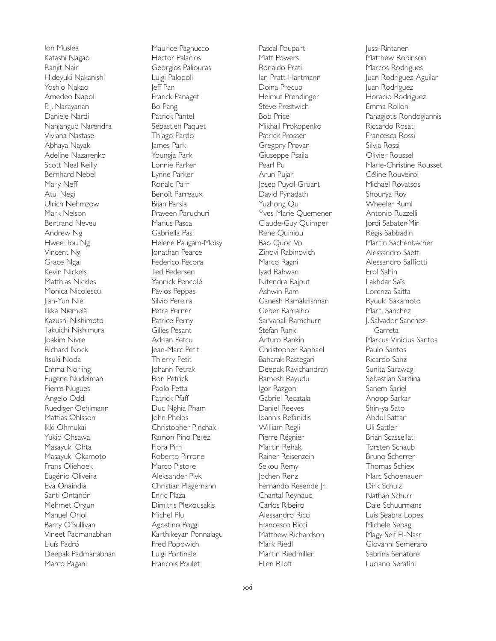Ion Muslea Katashi Nagao Ranjit Nair Hideyuki Nakanishi Yoshio Nakao Amedeo Napoli P. J. Narayanan Daniele Nardi Nanjangud Narendra Viviana Nastase Abhaya Nayak Adeline Nazarenko Scott Neal Reilly Bernhard Nebel Mary Neff Atul Negi Ulrich Nehmzow Mark Nelson Bertrand Neveu Andrew Ng Hwee Tou Ng Vincent Ng Grace Ngai Kevin Nickels Matthias Nickles Monica Nicolescu Jian-Yun Nie Ilkka Niemelä Kazushi Nishimoto Takuichi Nishimura Joakim Nivre Richard Nock Itsuki Noda Emma Norling Eugene Nudelman Pierre Nugues Angelo Oddi Ruediger Oehlmann Mattias Ohlsson Ikki Ohmukai Yukio Ohsawa Masayuki Ohta Masayuki Okamoto Frans Oliehoek Eugénio Oliveira Eva Onaindia Santi Ontañón Mehmet Orgun Manuel Oriol Barry O'Sullivan Vineet Padmanabhan Lluís Padró Deepak Padmanabhan Marco Pagani

Maurice Pagnucco Hector Palacios Georgios Paliouras Luigi Palopoli Jeff Pan Franck Panaget Bo Pang Patrick Pantel Sébastien Paquet Thiago Pardo James Park Youngja Park Lonnie Parker Lynne Parker Ronald Parr Benoît Parreaux Bijan Parsia Praveen Paruchuri Marius Pasca Gabriella Pasi Helene Paugam-Moisy Jonathan Pearce Federico Pecora Ted Pedersen Yannick Pencolé Pavlos Peppas Silvio Pereira Petra Perner Patrice Perny Gilles Pesant Adrian Petcu Jean-Marc Petit Thierry Petit Johann Petrak Ron Petrick Paolo Petta Patrick Pfaff Duc Nghia Pham John Phelps Christopher Pinchak Ramon Pino Perez Fiora Pirri Roberto Pirrone Marco Pistore Aleksander Pivk Christian Plagemann Enric Plaza Dimitris Plexousakis Michel Plu Agostino Poggi Karthikeyan Ponnalagu Fred Popowich Luigi Portinale Francois Poulet

Pascal Poupart Matt Powers Ronaldo Prati Ian Pratt-Hartmann Doina Precup Helmut Prendinger Steve Prestwich Bob Price Mikhail Prokopenko Patrick Prosser Gregory Provan Giuseppe Psaila Pearl Pu Arun Pujari Josep Puyol-Gruart David Pynadath Yuzhong Qu Yves-Marie Quemener Claude-Guy Quimper Rene Quiniou Bao Quoc Vo Zinovi Rabinovich Marco Ragni Iyad Rahwan Nitendra Rajput Ashwin Ram Ganesh Ramakrishnan Geber Ramalho Sarvapali Ramchurn Stefan Rank Arturo Rankin Christopher Raphael Baharak Rastegari Deepak Ravichandran Ramesh Rayudu Igor Razgon Gabriel Recatala Daniel Reeves Ioannis Refanidis William Regli Pierre Régnier Martin Rehak Rainer Reisenzein Sekou Remy Jochen Renz Fernando Resende Jr. Chantal Reynaud Carlos Ribeiro Alessandro Ricci Francesco Ricci Matthew Richardson Mark Riedl Martin Riedmiller Ellen Riloff

Jussi Rintanen Matthew Robinson Marcos Rodrigues Juan Rodriguez-Aguilar Juan Rodriguez Horacio Rodriguez Emma Rollon Panagiotis Rondogiannis Riccardo Rosati Francesca Rossi Silvia Rossi Olivier Roussel Marie-Christine Rousset Céline Rouveirol Michael Rovatsos Shourya Roy Wheeler Ruml Antonio Ruzzelli Jordi Sabater-Mir Régis Sabbadin Martin Sachenbacher Alessandro Saetti Alessandro Saffiotti Erol Sahin Lakhdar Saïs Lorenza Saitta Ryuuki Sakamoto Marti Sanchez J. Salvador Sanchez-Garreta Marcus Vinicius Santos Paulo Santos Ricardo Sanz Sunita Sarawagi Sebastian Sardina Sanem Sariel Anoop Sarkar Shin-ya Sato Abdul Sattar Uli Sattler Brian Scassellati Torsten Schaub Bruno Scherrer Thomas Schiex Marc Schoenauer Dirk Schulz Nathan Schurr Dale Schuurmans Luis Seabra Lopes Michele Sebag Magy Seif El-Nasr Giovanni Semeraro Sabrina Senatore Luciano Serafini